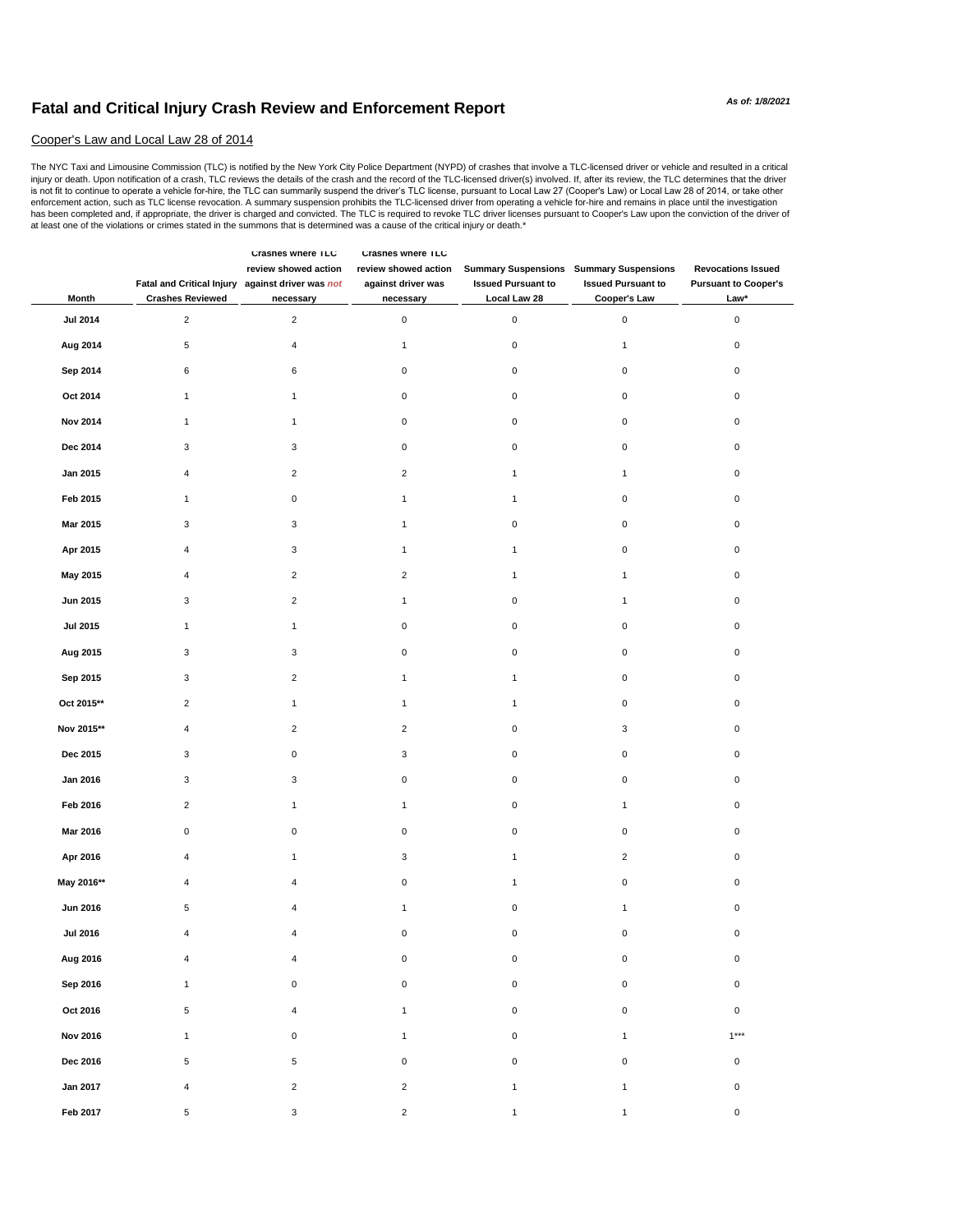## **Fatal and Critical Injury Crash Review and Enforcement Report**

## Cooper's Law and Local Law 28 of 2014

The NYC Taxi and Limousine Commission (TLC) is notified by the New York City Police Department (NYPD) of crashes that involve a TLC-licensed driver or vehicle and resulted in a critical<br>injuy or death. Upon notification of enforcement action, such as TLC license revocation. A summary suspension prohibits the TLC-licensed driver from operating a vehicle for-hire and remains in place until the investigation has been completed and, if appropriate, the driver is charged and convicted. The TLC is required to revoke TLC driver licenses pursuant to Cooper's Law upon the conviction of the driver of at least one of the violations or crimes stated in the summons that is determined was a cause of the critical injury or death.\*

| Month           | Fatal and Critical Injury against driver was not<br><b>Crashes Reviewed</b> | <b>Crashes where ILC</b><br>review showed action<br>necessary | Crashes where ILC<br>review showed action<br>against driver was<br>necessary | <b>Summary Suspensions Summary Suspensions</b><br><b>Issued Pursuant to</b><br>Local Law 28 | <b>Issued Pursuant to</b><br>Cooper's Law | <b>Revocations Issued</b><br><b>Pursuant to Cooper's</b><br>Law* |
|-----------------|-----------------------------------------------------------------------------|---------------------------------------------------------------|------------------------------------------------------------------------------|---------------------------------------------------------------------------------------------|-------------------------------------------|------------------------------------------------------------------|
| <b>Jul 2014</b> | $\overline{2}$                                                              | $\overline{2}$                                                | $\pmb{0}$                                                                    | $\mathsf 0$                                                                                 | $\pmb{0}$                                 | $\mathbf 0$                                                      |
| Aug 2014        | 5                                                                           | 4                                                             | $\mathbf{1}$                                                                 | 0                                                                                           | $\mathbf{1}$                              | 0                                                                |
| Sep 2014        | 6                                                                           | 6                                                             | $\mathsf 0$                                                                  | 0                                                                                           | 0                                         | 0                                                                |
| Oct 2014        | $\mathbf{1}$                                                                | 1                                                             | $\pmb{0}$                                                                    | 0                                                                                           | $\mathsf 0$                               | 0                                                                |
| <b>Nov 2014</b> | $\mathbf{1}$                                                                | $\mathbf{1}$                                                  | $\mathbf 0$                                                                  | 0                                                                                           | $\mathsf 0$                               | $\mathbf 0$                                                      |
| Dec 2014        | 3                                                                           | 3                                                             | $\mathbf 0$                                                                  | 0                                                                                           | 0                                         | 0                                                                |
| Jan 2015        | 4                                                                           | $\overline{2}$                                                | $\overline{2}$                                                               | $\mathbf{1}$                                                                                | $\mathbf{1}$                              | $\mathbf 0$                                                      |
| Feb 2015        | $\mathbf{1}$                                                                | 0                                                             | $\mathbf{1}$                                                                 | $\mathbf{1}$                                                                                | $\mathsf 0$                               | $\mathbf 0$                                                      |
| Mar 2015        | 3                                                                           | 3                                                             | $\mathbf{1}$                                                                 | $\mathsf 0$                                                                                 | $\pmb{0}$                                 | $\mathbf 0$                                                      |
| Apr 2015        | 4                                                                           | 3                                                             | $\mathbf{1}$                                                                 | $\mathbf{1}$                                                                                | $\mathsf 0$                               | $\mathbf 0$                                                      |
| May 2015        | 4                                                                           | $\overline{2}$                                                | $\sqrt{2}$                                                                   | $\mathbf{1}$                                                                                | $\mathbf{1}$                              | $\mathbf 0$                                                      |
| Jun 2015        | 3                                                                           | $\overline{2}$                                                | $\mathbf{1}$                                                                 | $\mathsf 0$                                                                                 | $\mathbf{1}$                              | $\mathbf 0$                                                      |
| <b>Jul 2015</b> | $\mathbf{1}$                                                                | $\mathbf{1}$                                                  | $\mathsf 0$                                                                  | 0                                                                                           | $\pmb{0}$                                 | $\mathbf 0$                                                      |
| Aug 2015        | 3                                                                           | 3                                                             | $\mathsf 0$                                                                  | 0                                                                                           | $\mathsf 0$                               | $\mathbf 0$                                                      |
| Sep 2015        | 3                                                                           | $\overline{2}$                                                | $\mathbf{1}$                                                                 | $\mathbf{1}$                                                                                | $\pmb{0}$                                 | 0                                                                |
| Oct 2015**      | $\overline{c}$                                                              | $\mathbf{1}$                                                  | $\mathbf{1}$                                                                 | $\mathbf{1}$                                                                                | 0                                         | 0                                                                |
| Nov 2015**      | $\overline{\mathbf{4}}$                                                     | $\overline{2}$                                                | $\overline{2}$                                                               | $\pmb{0}$                                                                                   | 3                                         | 0                                                                |
| Dec 2015        | 3                                                                           | $\mathbf 0$                                                   | 3                                                                            | 0                                                                                           | $\mathsf 0$                               | 0                                                                |
| Jan 2016        | 3                                                                           | 3                                                             | $\pmb{0}$                                                                    | 0                                                                                           | $\mathsf 0$                               | 0                                                                |
| Feb 2016        | $\overline{c}$                                                              | $\mathbf{1}$                                                  | $\mathbf{1}$                                                                 | 0                                                                                           | $\mathbf{1}$                              | 0                                                                |
| Mar 2016        | $\pmb{0}$                                                                   | $\mathbf 0$                                                   | $\pmb{0}$                                                                    | $\pmb{0}$                                                                                   | $\pmb{0}$                                 | 0                                                                |
| Apr 2016        | 4                                                                           | $\mathbf{1}$                                                  | 3                                                                            | $\mathbf{1}$                                                                                | $\overline{c}$                            | 0                                                                |
| May 2016**      | 4                                                                           | 4                                                             | $\pmb{0}$                                                                    | $\mathbf{1}$                                                                                | 0                                         | 0                                                                |
| Jun 2016        | 5                                                                           | 4                                                             | $\mathbf{1}$                                                                 | 0                                                                                           | $\mathbf{1}$                              | 0                                                                |
| <b>Jul 2016</b> | 4                                                                           | 4                                                             | $\pmb{0}$                                                                    | 0                                                                                           | $\pmb{0}$                                 | $\pmb{0}$                                                        |
| Aug 2016        | 4                                                                           | 4                                                             | $\pmb{0}$                                                                    | 0                                                                                           | $\pmb{0}$                                 | 0                                                                |
| Sep 2016        | $\mathbf{1}$                                                                | $\pmb{0}$                                                     | $\pmb{0}$                                                                    | 0                                                                                           | $\mathsf 0$                               | 0                                                                |
| Oct 2016        | 5                                                                           | $\overline{4}$                                                | $\mathbf{1}$                                                                 | 0                                                                                           | $\mathsf 0$                               | 0                                                                |
| <b>Nov 2016</b> | $\mathbf{1}$                                                                | 0                                                             | $\mathbf{1}$                                                                 | 0                                                                                           | $\mathbf{1}$                              | $1***$                                                           |
| Dec 2016        | 5                                                                           | 5                                                             | $\mathsf 0$                                                                  | 0                                                                                           | $\mathsf 0$                               | 0                                                                |
| Jan 2017        | 4                                                                           | $\overline{2}$                                                | $\overline{2}$                                                               | $\mathbf{1}$                                                                                | $\mathbf{1}$                              | $\mathsf 0$                                                      |
| Feb 2017        | 5                                                                           | 3                                                             | $\overline{c}$                                                               | 1                                                                                           | 1                                         | $\mathbf 0$                                                      |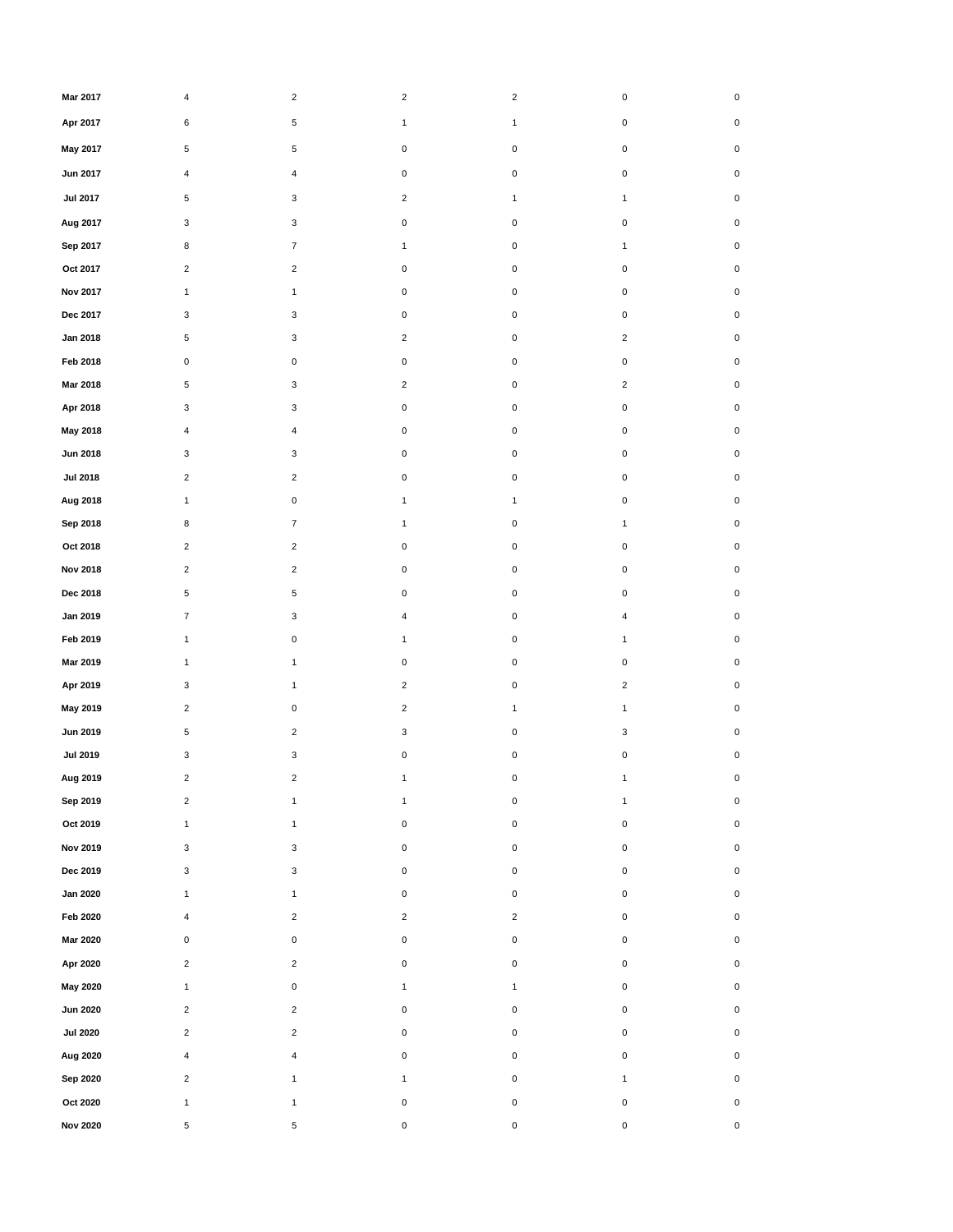| Mar 2017        | 4                       | $\overline{2}$            | $\overline{2}$ | $\overline{\mathbf{c}}$ | $\pmb{0}$                 | 0           |
|-----------------|-------------------------|---------------------------|----------------|-------------------------|---------------------------|-------------|
| Apr 2017        | 6                       | 5                         | $\mathbf{1}$   | $\mathbf{1}$            | $\mathbf 0$               | 0           |
| May 2017        | 5                       | 5                         | $\pmb{0}$      | 0                       | $\mathbf 0$               | 0           |
| <b>Jun 2017</b> | 4                       | 4                         | $\mathbf 0$    | 0                       | $\mathsf 0$               | 0           |
| <b>Jul 2017</b> | 5                       | 3                         | $\overline{2}$ | $\mathbf{1}$            | $\mathbf{1}$              | 0           |
| Aug 2017        | 3                       | 3                         | $\pmb{0}$      | 0                       | $\mathsf 0$               | 0           |
| Sep 2017        | 8                       | $\overline{7}$            | $\mathbf{1}$   | 0                       | $\mathbf{1}$              | 0           |
| Oct 2017        | $\overline{2}$          | $\mathbf 2$               | $\mathbf 0$    | 0                       | $\mathsf 0$               | 0           |
| <b>Nov 2017</b> | $\mathbf{1}$            | $\mathbf{1}$              | $\pmb{0}$      | 0                       | $\mathbf 0$               | 0           |
| Dec 2017        | 3                       | 3                         | $\pmb{0}$      | 0                       | $\pmb{0}$                 | 0           |
| Jan 2018        | 5                       | $\mathbf{3}$              | $\overline{2}$ | 0                       | $\overline{2}$            | 0           |
| Feb 2018        | $\pmb{0}$               | $\pmb{0}$                 | $\pmb{0}$      | 0                       | $\mathbf 0$               | 0           |
| Mar 2018        | 5                       | 3                         | $\overline{2}$ | 0                       | $\overline{c}$            | 0           |
| Apr 2018        | 3                       | 3                         | $\pmb{0}$      | 0                       | $\pmb{0}$                 | 0           |
| May 2018        | 4                       | $\overline{4}$            | $\pmb{0}$      | $\pmb{0}$               | $\mathbf 0$               | 0           |
| <b>Jun 2018</b> | 3                       | 3                         | $\pmb{0}$      | 0                       | $\pmb{0}$                 | 0           |
| <b>Jul 2018</b> | $\overline{\mathbf{c}}$ | $\sqrt{2}$                | $\pmb{0}$      | 0                       | $\mathbf 0$               | 0           |
| Aug 2018        | $\mathbf{1}$            | $\pmb{0}$                 | $\mathbf{1}$   | $\mathbf{1}$            | $\pmb{0}$                 | 0           |
| Sep 2018        | 8                       | $\overline{7}$            | $\mathbf{1}$   | 0                       | $\mathbf{1}$              | 0           |
| Oct 2018        | $\overline{2}$          | $\overline{2}$            | $\mathbf 0$    | 0                       | $\mathsf 0$               | 0           |
| <b>Nov 2018</b> | $\overline{2}$          | $\overline{2}$            | $\mathbf 0$    | 0                       | $\mathbf 0$               | 0           |
| Dec 2018        | 5                       | 5                         | $\pmb{0}$      | 0                       | $\pmb{0}$                 | 0           |
| Jan 2019        | $\overline{7}$          | 3                         | $\overline{4}$ | 0                       | $\overline{\mathbf{4}}$   | 0           |
| Feb 2019        | $\mathbf{1}$            | $\pmb{0}$                 | $\mathbf{1}$   | 0                       | $\mathbf{1}$              | 0           |
| Mar 2019        | $\mathbf{1}$            | $\mathbf{1}$              | $\mathbf 0$    | 0                       | $\mathbf 0$               | 0           |
| Apr 2019        | 3                       | $\mathbf{1}$              | $\overline{c}$ | 0                       | $\overline{c}$            | 0           |
| May 2019        | $\overline{\mathbf{c}}$ | $\pmb{0}$                 | $\overline{c}$ | 1                       | $\mathbf{1}$              | 0           |
| <b>Jun 2019</b> | 5                       | $\overline{2}$            | 3              | 0                       | $\ensuremath{\mathsf{3}}$ | 0           |
| <b>Jul 2019</b> | 3                       | 3                         | $\pmb{0}$      | 0                       | $\pmb{0}$                 | 0           |
| Aug 2019        | $\sqrt{2}$              | $\overline{c}$            | $\mathbf{1}$   | 0                       | $\mathbf{1}$              | 0           |
| Sep 2019        | $\sqrt{2}$              | $\mathbf{1}$              | $\mathbf{1}$   | 0                       | $\mathbf{1}$              | 0           |
| Oct 2019        | $\mathbf{1}$            | $\mathbf{1}$              | $\mathbf 0$    | $\pmb{0}$               | $\mathsf 0$               | $\mathbf 0$ |
| <b>Nov 2019</b> | $\mathbf{3}$            | $\ensuremath{\mathsf{3}}$ | $\mathbf 0$    | $\pmb{0}$               | $\mathsf 0$               | $\pmb{0}$   |
| Dec 2019        | $\mathbf{3}$            | 3                         | $\mathbf 0$    | 0                       | 0                         | $\mathbf 0$ |
| <b>Jan 2020</b> | $\mathbf{1}$            | $\mathbf{1}$              | $\mathbf 0$    | 0                       | $\mathsf{O}\xspace$       | $\mathbf 0$ |
| Feb 2020        | 4                       | $\overline{2}$            | $\overline{2}$ | $\overline{2}$          | $\mathsf{O}\xspace$       | $\mathbf 0$ |
| Mar 2020        | $\pmb{0}$               | $\pmb{0}$                 | $\mathbf 0$    | 0                       | $\mathsf{O}\xspace$       | $\mathbf 0$ |
| Apr 2020        | $\overline{2}$          | $\overline{2}$            | $\mathbf 0$    | $\pmb{0}$               | 0                         | $\mathbf 0$ |
| May 2020        | $\mathbf{1}$            | $\pmb{0}$                 | $\mathbf{1}$   | $\mathbf{1}$            | $\mathsf{O}\xspace$       | $\mathbf 0$ |
| <b>Jun 2020</b> | $\overline{2}$          | $\overline{c}$            | $\mathbf 0$    | $\pmb{0}$               | $\mathsf 0$               | $\mathbf 0$ |
| <b>Jul 2020</b> | $\overline{c}$          | $\overline{\mathbf{c}}$   | $\mathbf 0$    | $\pmb{0}$               | $\mathsf 0$               | $\mathbf 0$ |
| Aug 2020        | $\overline{\mathbf{4}}$ | $\overline{\mathbf{4}}$   | $\mathbf 0$    | $\pmb{0}$               | $\mathsf{O}\xspace$       | $\mathbf 0$ |
| Sep 2020        | $\overline{c}$          | $\mathbf{1}$              | $\mathbf{1}$   | $\pmb{0}$               | $\mathbf{1}$              | $\mathbf 0$ |
| Oct 2020        | $\mathbf{1}$            | $\mathbf{1}$              | $\mathbf 0$    | $\pmb{0}$               | $\mathsf 0$               | $\mathbf 0$ |
| <b>Nov 2020</b> | 5                       | 5                         | $\mathsf 0$    | 0                       | $\mathsf 0$               | $\mathbf 0$ |